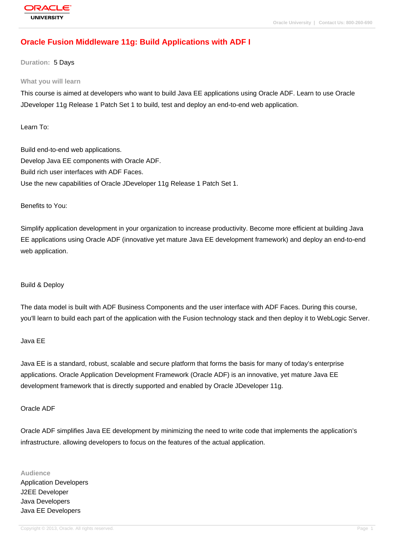# **[Oracle Fusion](http://education.oracle.com/pls/web_prod-plq-dad/db_pages.getpage?page_id=3) Middleware 11g: Build Applications with ADF I**

**Duration:** 5 Days

#### **What you will learn**

This course is aimed at developers who want to build Java EE applications using Oracle ADF. Learn to use Oracle JDeveloper 11g Release 1 Patch Set 1 to build, test and deploy an end-to-end web application.

Learn To:

Build end-to-end web applications. Develop Java EE components with Oracle ADF. Build rich user interfaces with ADF Faces. Use the new capabilities of Oracle JDeveloper 11g Release 1 Patch Set 1.

Benefits to You:

Simplify application development in your organization to increase productivity. Become more efficient at building Java EE applications using Oracle ADF (innovative yet mature Java EE development framework) and deploy an end-to-end web application.

#### Build & Deploy

The data model is built with ADF Business Components and the user interface with ADF Faces. During this course, you'll learn to build each part of the application with the Fusion technology stack and then deploy it to WebLogic Server.

#### Java EE

Java EE is a standard, robust, scalable and secure platform that forms the basis for many of today's enterprise applications. Oracle Application Development Framework (Oracle ADF) is an innovative, yet mature Java EE development framework that is directly supported and enabled by Oracle JDeveloper 11g.

#### Oracle ADF

Oracle ADF simplifies Java EE development by minimizing the need to write code that implements the application's infrastructure. allowing developers to focus on the features of the actual application.

**Audience** Application Developers J2EE Developer Java Developers Java EE Developers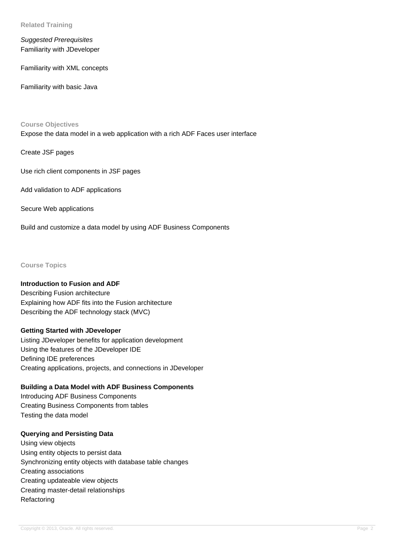**Related Training**

Suggested Prerequisites Familiarity with JDeveloper

Familiarity with XML concepts

Familiarity with basic Java

#### **Course Objectives**

Expose the data model in a web application with a rich ADF Faces user interface

Create JSF pages

Use rich client components in JSF pages

Add validation to ADF applications

Secure Web applications

Build and customize a data model by using ADF Business Components

**Course Topics**

### **Introduction to Fusion and ADF**

Describing Fusion architecture Explaining how ADF fits into the Fusion architecture Describing the ADF technology stack (MVC)

#### **Getting Started with JDeveloper**

Listing JDeveloper benefits for application development Using the features of the JDeveloper IDE Defining IDE preferences Creating applications, projects, and connections in JDeveloper

#### **Building a Data Model with ADF Business Components**

Introducing ADF Business Components Creating Business Components from tables Testing the data model

#### **Querying and Persisting Data**

Using view objects Using entity objects to persist data Synchronizing entity objects with database table changes Creating associations Creating updateable view objects Creating master-detail relationships Refactoring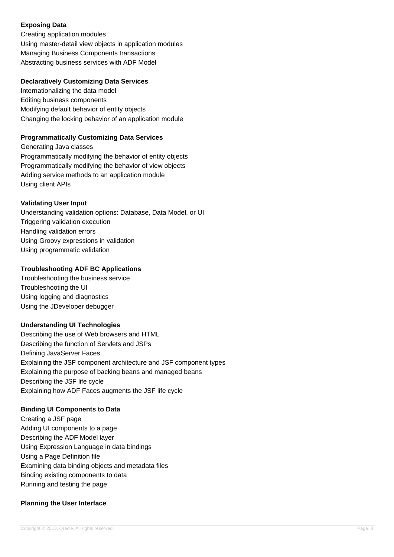## **Exposing Data**

Creating application modules Using master-detail view objects in application modules Managing Business Components transactions Abstracting business services with ADF Model

### **Declaratively Customizing Data Services**

Internationalizing the data model Editing business components Modifying default behavior of entity objects Changing the locking behavior of an application module

## **Programmatically Customizing Data Services**

Generating Java classes Programmatically modifying the behavior of entity objects Programmatically modifying the behavior of view objects Adding service methods to an application module Using client APIs

## **Validating User Input**

Understanding validation options: Database, Data Model, or UI Triggering validation execution Handling validation errors Using Groovy expressions in validation Using programmatic validation

## **Troubleshooting ADF BC Applications**

Troubleshooting the business service Troubleshooting the UI Using logging and diagnostics Using the JDeveloper debugger

## **Understanding UI Technologies**

Describing the use of Web browsers and HTML Describing the function of Servlets and JSPs Defining JavaServer Faces Explaining the JSF component architecture and JSF component types Explaining the purpose of backing beans and managed beans Describing the JSF life cycle Explaining how ADF Faces augments the JSF life cycle

## **Binding UI Components to Data**

Creating a JSF page Adding UI components to a page Describing the ADF Model layer Using Expression Language in data bindings Using a Page Definition file Examining data binding objects and metadata files Binding existing components to data Running and testing the page

## **Planning the User Interface**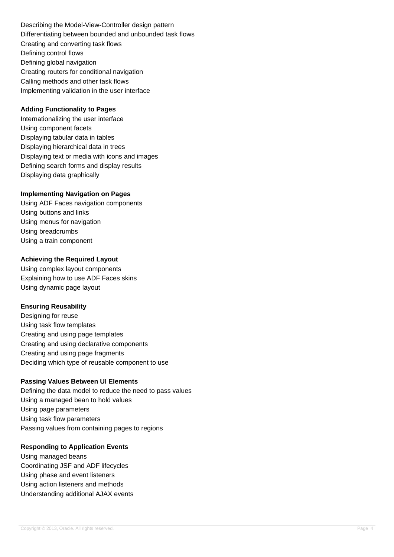Describing the Model-View-Controller design pattern Differentiating between bounded and unbounded task flows Creating and converting task flows Defining control flows Defining global navigation Creating routers for conditional navigation Calling methods and other task flows Implementing validation in the user interface

### **Adding Functionality to Pages**

Internationalizing the user interface Using component facets Displaying tabular data in tables Displaying hierarchical data in trees Displaying text or media with icons and images Defining search forms and display results Displaying data graphically

#### **Implementing Navigation on Pages**

Using ADF Faces navigation components Using buttons and links Using menus for navigation Using breadcrumbs Using a train component

#### **Achieving the Required Layout**

Using complex layout components Explaining how to use ADF Faces skins Using dynamic page layout

## **Ensuring Reusability**

Designing for reuse Using task flow templates Creating and using page templates Creating and using declarative components Creating and using page fragments Deciding which type of reusable component to use

## **Passing Values Between UI Elements**

Defining the data model to reduce the need to pass values Using a managed bean to hold values Using page parameters Using task flow parameters Passing values from containing pages to regions

#### **Responding to Application Events**

Using managed beans Coordinating JSF and ADF lifecycles Using phase and event listeners Using action listeners and methods Understanding additional AJAX events